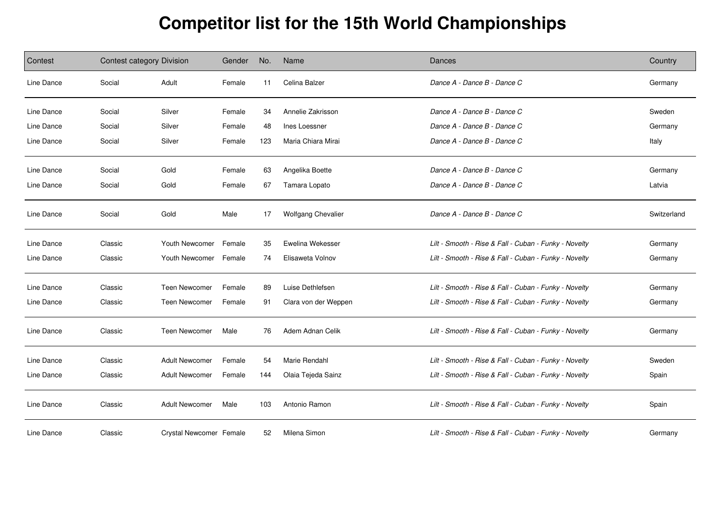## **Competitor list for the 15th World Championships**

| Contest    | Contest category Division |                         | Gender | No. | Name                      | Dances                                                | Country     |
|------------|---------------------------|-------------------------|--------|-----|---------------------------|-------------------------------------------------------|-------------|
| Line Dance | Social                    | Adult                   | Female | 11  | Celina Balzer             | Dance A - Dance B - Dance C                           | Germany     |
| Line Dance | Social                    | Silver                  | Female | 34  | Annelie Zakrisson         | Dance A - Dance B - Dance C                           | Sweden      |
| Line Dance | Social                    | Silver                  | Female | 48  | Ines Loessner             | Dance A - Dance B - Dance C                           | Germany     |
| Line Dance | Social                    | Silver                  | Female | 123 | Maria Chiara Mirai        | Dance A - Dance B - Dance C                           | Italy       |
| Line Dance | Social                    | Gold                    | Female | 63  | Angelika Boette           | Dance A - Dance B - Dance C                           | Germany     |
| Line Dance | Social                    | Gold                    | Female | 67  | Tamara Lopato             | Dance A - Dance B - Dance C                           | Latvia      |
| Line Dance | Social                    | Gold                    | Male   | 17  | <b>Wolfgang Chevalier</b> | Dance A - Dance B - Dance C                           | Switzerland |
| Line Dance | Classic                   | Youth Newcomer          | Female | 35  | Ewelina Wekesser          | Lilt - Smooth - Rise & Fall - Cuban - Funky - Novelty | Germany     |
| Line Dance | Classic                   | Youth Newcomer          | Female | 74  | Elisaweta Volnov          | Lilt - Smooth - Rise & Fall - Cuban - Funky - Novelty | Germany     |
| Line Dance | Classic                   | Teen Newcomer           | Female | 89  | Luise Dethlefsen          | Lilt - Smooth - Rise & Fall - Cuban - Funky - Novelty | Germany     |
| Line Dance | Classic                   | <b>Teen Newcomer</b>    | Female | 91  | Clara von der Weppen      | Lilt - Smooth - Rise & Fall - Cuban - Funky - Novelty | Germany     |
| Line Dance | Classic                   | <b>Teen Newcomer</b>    | Male   | 76  | Adem Adnan Celik          | Lilt - Smooth - Rise & Fall - Cuban - Funky - Novelty | Germany     |
| Line Dance | Classic                   | <b>Adult Newcomer</b>   | Female | 54  | Marie Rendahl             | Lilt - Smooth - Rise & Fall - Cuban - Funky - Novelty | Sweden      |
| Line Dance | Classic                   | <b>Adult Newcomer</b>   | Female | 144 | Olaia Tejeda Sainz        | Lilt - Smooth - Rise & Fall - Cuban - Funky - Novelty | Spain       |
| Line Dance | Classic                   | <b>Adult Newcomer</b>   | Male   | 103 | Antonio Ramon             | Lilt - Smooth - Rise & Fall - Cuban - Funky - Novelty | Spain       |
| Line Dance | Classic                   | Crystal Newcomer Female |        | 52  | Milena Simon              | Lilt - Smooth - Rise & Fall - Cuban - Funky - Novelty | Germany     |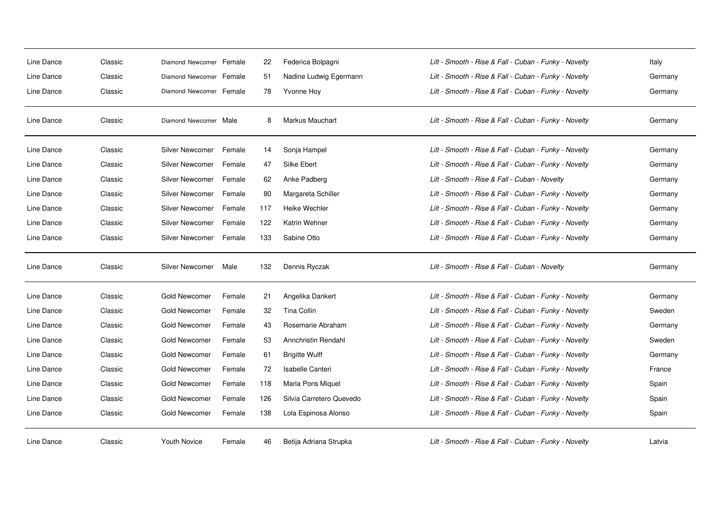| Line Dance | Classic | Diamond Newcomer Female |        | 22  | Federica Bolpagni        | Lilt - Smooth - Rise & Fall - Cuban - Funky - Novelty | Italy   |
|------------|---------|-------------------------|--------|-----|--------------------------|-------------------------------------------------------|---------|
| Line Dance | Classic | Diamond Newcomer Female |        | 51  | Nadine Ludwig Egermann   | Lilt - Smooth - Rise & Fall - Cuban - Funky - Novelty | Germany |
| Line Dance | Classic | Diamond Newcomer Female |        | 78  | Yvonne Hoy               | Lilt - Smooth - Rise & Fall - Cuban - Funky - Novelty | Germany |
| Line Dance | Classic | Diamond Newcomer Male   |        | 8   | <b>Markus Mauchart</b>   | Lilt - Smooth - Rise & Fall - Cuban - Funky - Novelty | Germany |
| Line Dance | Classic | Silver Newcomer         | Female | 14  | Sonja Hampel             | Lilt - Smooth - Rise & Fall - Cuban - Funky - Novelty | Germany |
| Line Dance | Classic | Silver Newcomer         | Female | 47  | Silke Ebert              | Lilt - Smooth - Rise & Fall - Cuban - Funky - Novelty | Germany |
| Line Dance | Classic | Silver Newcomer         | Female | 62  | Anke Padberg             | Lilt - Smooth - Rise & Fall - Cuban - Novelty         | Germany |
| Line Dance | Classic | Silver Newcomer         | Female | 80  | Margareta Schiller       | Lilt - Smooth - Rise & Fall - Cuban - Funky - Novelty | Germany |
| Line Dance | Classic | Silver Newcomer         | Female | 117 | Heike Wechler            | Lilt - Smooth - Rise & Fall - Cuban - Funky - Novelty | Germany |
| Line Dance | Classic | Silver Newcomer         | Female | 122 | Katrin Wehner            | Lilt - Smooth - Rise & Fall - Cuban - Funky - Novelty | Germany |
| Line Dance | Classic | Silver Newcomer         | Female | 133 | Sabine Otto              | Lilt - Smooth - Rise & Fall - Cuban - Funky - Novelty | Germany |
| Line Dance | Classic | Silver Newcomer         | Male   | 132 | Dennis Ryczak            | Lilt - Smooth - Rise & Fall - Cuban - Novelty         | Germany |
| Line Dance | Classic | Gold Newcomer           | Female | 21  | Angelika Dankert         | Lilt - Smooth - Rise & Fall - Cuban - Funky - Novelty | Germany |
| Line Dance | Classic | Gold Newcomer           | Female | 32  | Tina Collin              | Lilt - Smooth - Rise & Fall - Cuban - Funky - Novelty | Sweden  |
| Line Dance | Classic | Gold Newcomer           | Female | 43  | Rosemarie Abraham        | Lilt - Smooth - Rise & Fall - Cuban - Funky - Novelty | Germany |
| Line Dance | Classic | Gold Newcomer           | Female | 53  | Annchristin Rendahl      | Lilt - Smooth - Rise & Fall - Cuban - Funky - Novelty | Sweden  |
| Line Dance | Classic | Gold Newcomer           | Female | 61  | <b>Brigitte Wulff</b>    | Lilt - Smooth - Rise & Fall - Cuban - Funky - Novelty | Germany |
| Line Dance | Classic | Gold Newcomer           | Female | 72  | Isabelle Canteri         | Lilt - Smooth - Rise & Fall - Cuban - Funky - Novelty | France  |
| Line Dance | Classic | Gold Newcomer           | Female | 118 | Maria Pons Miquel        | Lilt - Smooth - Rise & Fall - Cuban - Funky - Novelty | Spain   |
| Line Dance | Classic | Gold Newcomer           | Female | 126 | Silvia Carretero Quevedo | Lilt - Smooth - Rise & Fall - Cuban - Funky - Novelty | Spain   |
| Line Dance | Classic | Gold Newcomer           | Female | 138 | Lola Espinosa Alonso     | Lilt - Smooth - Rise & Fall - Cuban - Funky - Novelty | Spain   |
| Line Dance | Classic | <b>Youth Novice</b>     | Female | 46  | Betija Adriana Strupka   | Lilt - Smooth - Rise & Fall - Cuban - Funky - Novelty | Latvia  |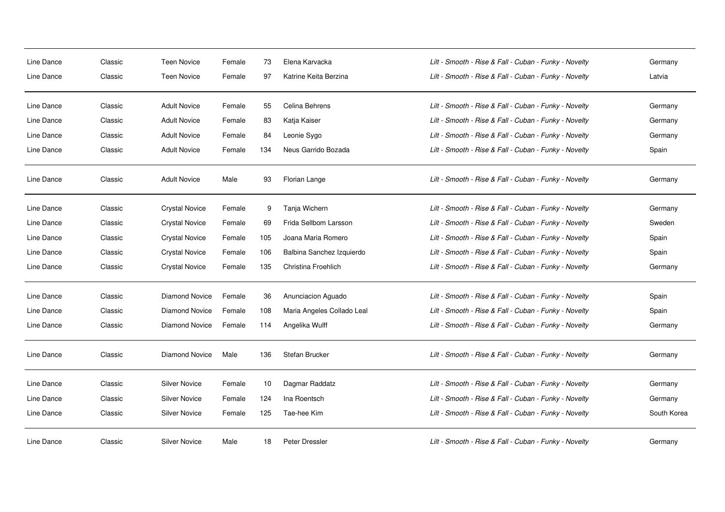| Line Dance<br>Line Dance | Classic<br>Classic | <b>Teen Novice</b><br><b>Teen Novice</b> | Female<br>Female | 73<br>97 | Elena Karvacka<br>Katrine Keita Berzina | Lilt - Smooth - Rise & Fall - Cuban - Funky - Novelty<br>Lilt - Smooth - Rise & Fall - Cuban - Funky - Novelty | Germany<br>Latvia |
|--------------------------|--------------------|------------------------------------------|------------------|----------|-----------------------------------------|----------------------------------------------------------------------------------------------------------------|-------------------|
| Line Dance               | Classic            | <b>Adult Novice</b>                      | Female           | 55       | Celina Behrens                          | Lilt - Smooth - Rise & Fall - Cuban - Funky - Novelty                                                          | Germany           |
| Line Dance               | Classic            | <b>Adult Novice</b>                      | Female           | 83       | Katja Kaiser                            | Lilt - Smooth - Rise & Fall - Cuban - Funky - Novelty                                                          | Germany           |
| Line Dance               | Classic            | <b>Adult Novice</b>                      | Female           | 84       | Leonie Sygo                             | Lilt - Smooth - Rise & Fall - Cuban - Funky - Novelty                                                          | Germany           |
| Line Dance               | Classic            | <b>Adult Novice</b>                      | Female           | 134      | Neus Garrido Bozada                     | Lilt - Smooth - Rise & Fall - Cuban - Funky - Novelty                                                          | Spain             |
| Line Dance               | Classic            | <b>Adult Novice</b>                      | Male             | 93       | Florian Lange                           | Lilt - Smooth - Rise & Fall - Cuban - Funky - Novelty                                                          | Germany           |
| Line Dance               | Classic            | <b>Crystal Novice</b>                    | Female           | 9        | Tanja Wichern                           | Lilt - Smooth - Rise & Fall - Cuban - Funky - Novelty                                                          | Germany           |
| Line Dance               | Classic            | <b>Crystal Novice</b>                    | Female           | 69       | Frida Sellbom Larsson                   | Lilt - Smooth - Rise & Fall - Cuban - Funky - Novelty                                                          | Sweden            |
| Line Dance               | Classic            | <b>Crystal Novice</b>                    | Female           | 105      | Joana Maria Romero                      | Lilt - Smooth - Rise & Fall - Cuban - Funky - Novelty                                                          | Spain             |
| Line Dance               | Classic            | <b>Crystal Novice</b>                    | Female           | 106      | Balbina Sanchez Izquierdo               | Lilt - Smooth - Rise & Fall - Cuban - Funky - Novelty                                                          | Spain             |
| Line Dance               | Classic            | <b>Crystal Novice</b>                    | Female           | 135      | Christina Froehlich                     | Lilt - Smooth - Rise & Fall - Cuban - Funky - Novelty                                                          | Germany           |
| Line Dance               | Classic            | Diamond Novice                           | Female           | 36       | Anunciacion Aguado                      | Lilt - Smooth - Rise & Fall - Cuban - Funky - Novelty                                                          | Spain             |
| Line Dance               | Classic            | Diamond Novice                           | Female           | 108      | Maria Angeles Collado Leal              | Lilt - Smooth - Rise & Fall - Cuban - Funky - Novelty                                                          | Spain             |
| Line Dance               | Classic            | Diamond Novice                           | Female           | 114      | Angelika Wulff                          | Lilt - Smooth - Rise & Fall - Cuban - Funky - Novelty                                                          | Germany           |
| Line Dance               | Classic            | Diamond Novice                           | Male             | 136      | Stefan Brucker                          | Lilt - Smooth - Rise & Fall - Cuban - Funky - Novelty                                                          | Germany           |
| Line Dance               | Classic            | Silver Novice                            | Female           | 10       | Dagmar Raddatz                          | Lilt - Smooth - Rise & Fall - Cuban - Funky - Novelty                                                          | Germany           |
| Line Dance               | Classic            | <b>Silver Novice</b>                     | Female           | 124      | Ina Roentsch                            | Lilt - Smooth - Rise & Fall - Cuban - Funky - Novelty                                                          | Germany           |
| Line Dance               | Classic            | <b>Silver Novice</b>                     | Female           | 125      | Tae-hee Kim                             | Lilt - Smooth - Rise & Fall - Cuban - Funky - Novelty                                                          | South Korea       |
| Line Dance               | Classic            | <b>Silver Novice</b>                     | Male             | 18       | Peter Dressler                          | Lilt - Smooth - Rise & Fall - Cuban - Funky - Novelty                                                          | Germany           |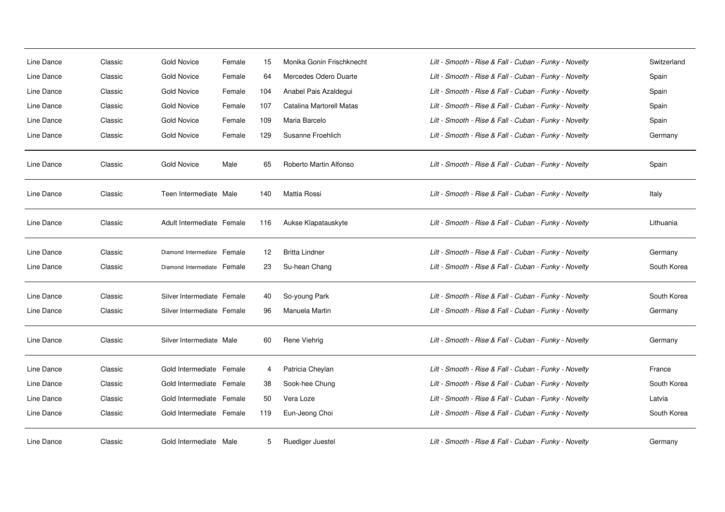| Line Dance | Classic | <b>Gold Novice</b>          | Female | 15  | Monika Gonin Frischknecht | Lilt - Smooth - Rise & Fall - Cuban - Funky - Novelty | Switzerland |
|------------|---------|-----------------------------|--------|-----|---------------------------|-------------------------------------------------------|-------------|
| Line Dance | Classic | <b>Gold Novice</b>          | Female | 64  | Mercedes Odero Duarte     | Lilt - Smooth - Rise & Fall - Cuban - Funky - Novelty | Spain       |
| Line Dance | Classic | <b>Gold Novice</b>          | Female | 104 | Anabel Pais Azaldegui     | Lilt - Smooth - Rise & Fall - Cuban - Funky - Novelty | Spain       |
| Line Dance | Classic | <b>Gold Novice</b>          | Female | 107 | Catalina Martorell Matas  | Lilt - Smooth - Rise & Fall - Cuban - Funky - Novelty | Spain       |
| Line Dance | Classic | <b>Gold Novice</b>          | Female | 109 | Maria Barcelo             | Lilt - Smooth - Rise & Fall - Cuban - Funky - Novelty | Spain       |
| Line Dance | Classic | <b>Gold Novice</b>          | Female | 129 | Susanne Froehlich         | Lilt - Smooth - Rise & Fall - Cuban - Funky - Novelty | Germany     |
|            |         |                             |        |     |                           |                                                       |             |
| Line Dance | Classic | <b>Gold Novice</b>          | Male   | 65  | Roberto Martin Alfonso    | Lilt - Smooth - Rise & Fall - Cuban - Funky - Novelty | Spain       |
| Line Dance | Classic | Teen Intermediate Male      |        | 140 | Mattia Rossi              | Lilt - Smooth - Rise & Fall - Cuban - Funky - Novelty | Italy       |
| Line Dance | Classic | Adult Intermediate Female   |        | 116 | Aukse Klapatauskyte       | Lilt - Smooth - Rise & Fall - Cuban - Funky - Novelty | Lithuania   |
| Line Dance | Classic | Diamond Intermediate Female |        | 12  | <b>Britta Lindner</b>     | Lilt - Smooth - Rise & Fall - Cuban - Funky - Novelty | Germany     |
| Line Dance | Classic | Diamond Intermediate Female |        | 23  | Su-hean Chang             | Lilt - Smooth - Rise & Fall - Cuban - Funky - Novelty | South Korea |
| Line Dance | Classic | Silver Intermediate Female  |        | 40  | So-young Park             | Lilt - Smooth - Rise & Fall - Cuban - Funky - Novelty | South Korea |
| Line Dance | Classic | Silver Intermediate Female  |        | 96  | Manuela Martin            | Lilt - Smooth - Rise & Fall - Cuban - Funky - Novelty | Germany     |
| Line Dance | Classic | Silver Intermediate Male    |        | 60  | Rene Viehrig              | Lilt - Smooth - Rise & Fall - Cuban - Funky - Novelty | Germany     |
| Line Dance | Classic | Gold Intermediate Female    |        | 4   | Patricia Cheylan          | Lilt - Smooth - Rise & Fall - Cuban - Funky - Novelty | France      |
| Line Dance | Classic | Gold Intermediate Female    |        | 38  | Sook-hee Chung            | Lilt - Smooth - Rise & Fall - Cuban - Funky - Novelty | South Korea |
| Line Dance | Classic | Gold Intermediate Female    |        | 50  | Vera Loze                 | Lilt - Smooth - Rise & Fall - Cuban - Funky - Novelty | Latvia      |
| Line Dance | Classic | Gold Intermediate Female    |        | 119 | Eun-Jeong Choi            | Lilt - Smooth - Rise & Fall - Cuban - Funky - Novelty | South Korea |
| Line Dance | Classic | Gold Intermediate Male      |        | 5   | Ruediger Juestel          | Lilt - Smooth - Rise & Fall - Cuban - Funky - Novelty | Germany     |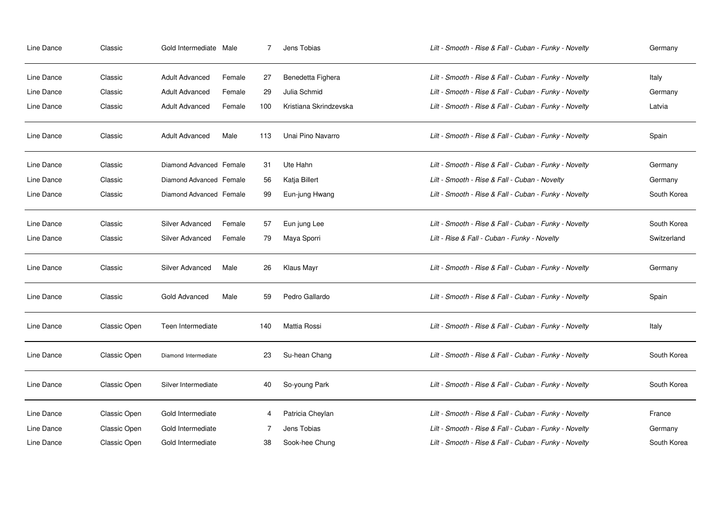| Line Dance | Classic             | Gold Intermediate Male  |        | $\overline{7}$ | Jens Tobias            | Lilt - Smooth - Rise & Fall - Cuban - Funky - Novelty | Germany     |
|------------|---------------------|-------------------------|--------|----------------|------------------------|-------------------------------------------------------|-------------|
| Line Dance | Classic             | <b>Adult Advanced</b>   | Female | 27             | Benedetta Fighera      | Lilt - Smooth - Rise & Fall - Cuban - Funky - Novelty | Italy       |
| Line Dance | Classic             | <b>Adult Advanced</b>   | Female | 29             | Julia Schmid           | Lilt - Smooth - Rise & Fall - Cuban - Funky - Novelty | Germany     |
| Line Dance | Classic             | <b>Adult Advanced</b>   | Female | 100            | Kristiana Skrindzevska | Lilt - Smooth - Rise & Fall - Cuban - Funky - Novelty | Latvia      |
| Line Dance | Classic             | Adult Advanced          | Male   | 113            | Unai Pino Navarro      | Lilt - Smooth - Rise & Fall - Cuban - Funky - Novelty | Spain       |
| Line Dance | Classic             | Diamond Advanced Female |        | 31             | Ute Hahn               | Lilt - Smooth - Rise & Fall - Cuban - Funky - Novelty | Germany     |
| Line Dance | Classic             | Diamond Advanced Female |        | 56             | Katja Billert          | Lilt - Smooth - Rise & Fall - Cuban - Novelty         | Germany     |
| Line Dance | Classic             | Diamond Advanced Female |        | 99             | Eun-jung Hwang         | Lilt - Smooth - Rise & Fall - Cuban - Funky - Novelty | South Korea |
| Line Dance | Classic             | Silver Advanced         | Female | 57             | Eun jung Lee           | Lilt - Smooth - Rise & Fall - Cuban - Funky - Novelty | South Korea |
| Line Dance | Classic             | Silver Advanced         | Female | 79             | Maya Sporri            | Lilt - Rise & Fall - Cuban - Funky - Novelty          | Switzerland |
| Line Dance | Classic             | Silver Advanced         | Male   | 26             | Klaus Mayr             | Lilt - Smooth - Rise & Fall - Cuban - Funky - Novelty | Germany     |
| Line Dance | Classic             | Gold Advanced           | Male   | 59             | Pedro Gallardo         | Lilt - Smooth - Rise & Fall - Cuban - Funky - Novelty | Spain       |
| Line Dance | Classic Open        | Teen Intermediate       |        | 140            | Mattia Rossi           | Lilt - Smooth - Rise & Fall - Cuban - Funky - Novelty | Italy       |
| Line Dance | <b>Classic Open</b> | Diamond Intermediate    |        | 23             | Su-hean Chang          | Lilt - Smooth - Rise & Fall - Cuban - Funky - Novelty | South Korea |
| Line Dance | Classic Open        | Silver Intermediate     |        | 40             | So-young Park          | Lilt - Smooth - Rise & Fall - Cuban - Funky - Novelty | South Korea |
| Line Dance | Classic Open        | Gold Intermediate       |        | 4              | Patricia Cheylan       | Lilt - Smooth - Rise & Fall - Cuban - Funky - Novelty | France      |
| Line Dance | Classic Open        | Gold Intermediate       |        |                | Jens Tobias            | Lilt - Smooth - Rise & Fall - Cuban - Funky - Novelty | Germany     |
| Line Dance | Classic Open        | Gold Intermediate       |        | 38             | Sook-hee Chung         | Lilt - Smooth - Rise & Fall - Cuban - Funky - Novelty | South Korea |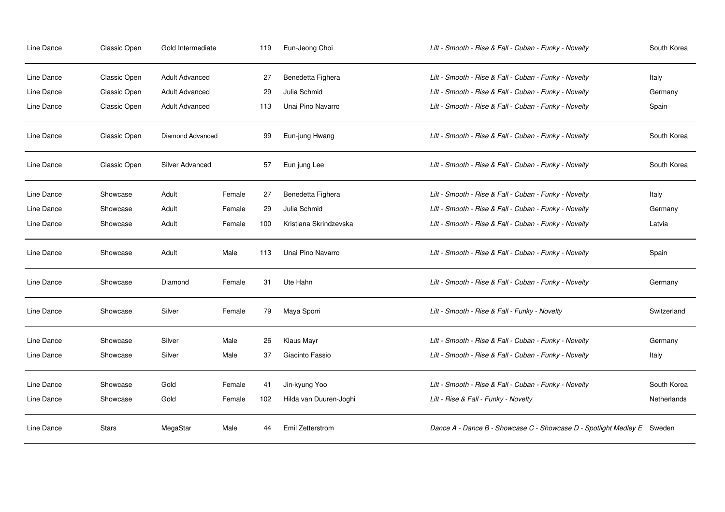| Line Dance | Classic Open | Gold Intermediate     |        | 119 | Eun-Jeong Choi         | Lilt - Smooth - Rise & Fall - Cuban - Funky - Novelty                   | South Korea |
|------------|--------------|-----------------------|--------|-----|------------------------|-------------------------------------------------------------------------|-------------|
| Line Dance | Classic Open | <b>Adult Advanced</b> |        | 27  | Benedetta Fighera      | Lilt - Smooth - Rise & Fall - Cuban - Funky - Novelty                   | Italy       |
| Line Dance | Classic Open | <b>Adult Advanced</b> |        | 29  | Julia Schmid           | Lilt - Smooth - Rise & Fall - Cuban - Funky - Novelty                   | Germany     |
| Line Dance | Classic Open | <b>Adult Advanced</b> |        | 113 | Unai Pino Navarro      | Lilt - Smooth - Rise & Fall - Cuban - Funky - Novelty                   | Spain       |
| Line Dance | Classic Open | Diamond Advanced      |        | 99  | Eun-jung Hwang         | Lilt - Smooth - Rise & Fall - Cuban - Funky - Novelty                   | South Korea |
| Line Dance | Classic Open | Silver Advanced       |        | 57  | Eun jung Lee           | Lilt - Smooth - Rise & Fall - Cuban - Funky - Novelty                   | South Korea |
| Line Dance | Showcase     | Adult                 | Female | 27  | Benedetta Fighera      | Lilt - Smooth - Rise & Fall - Cuban - Funky - Novelty                   | Italy       |
| Line Dance | Showcase     | Adult                 | Female | 29  | Julia Schmid           | Lilt - Smooth - Rise & Fall - Cuban - Funky - Novelty                   | Germany     |
| Line Dance | Showcase     | Adult                 | Female | 100 | Kristiana Skrindzevska | Lilt - Smooth - Rise & Fall - Cuban - Funky - Novelty                   | Latvia      |
| Line Dance | Showcase     | Adult                 | Male   | 113 | Unai Pino Navarro      | Lilt - Smooth - Rise & Fall - Cuban - Funky - Novelty                   | Spain       |
| Line Dance | Showcase     | Diamond               | Female | 31  | Ute Hahn               | Lilt - Smooth - Rise & Fall - Cuban - Funky - Novelty                   | Germany     |
| Line Dance | Showcase     | Silver                | Female | 79  | Maya Sporri            | Lilt - Smooth - Rise & Fall - Funky - Novelty                           | Switzerland |
| Line Dance | Showcase     | Silver                | Male   | 26  | Klaus Mayr             | Lilt - Smooth - Rise & Fall - Cuban - Funky - Novelty                   | Germany     |
| Line Dance | Showcase     | Silver                | Male   | 37  | Giacinto Fassio        | Lilt - Smooth - Rise & Fall - Cuban - Funky - Novelty                   | Italy       |
| Line Dance | Showcase     | Gold                  | Female | 41  | Jin-kyung Yoo          | Lilt - Smooth - Rise & Fall - Cuban - Funky - Novelty                   | South Korea |
| Line Dance | Showcase     | Gold                  | Female | 102 | Hilda van Duuren-Joghi | Lilt - Rise & Fall - Funky - Novelty                                    | Netherlands |
| Line Dance | <b>Stars</b> | MegaStar              | Male   | 44  | Emil Zetterstrom       | Dance A - Dance B - Showcase C - Showcase D - Spotlight Medley E Sweden |             |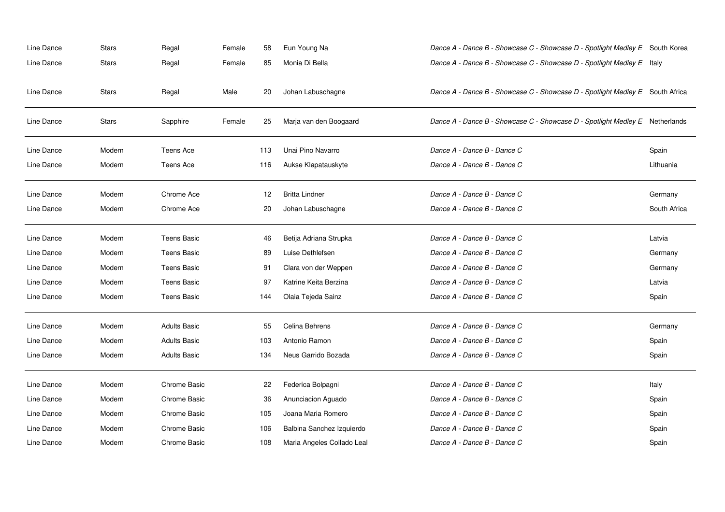| Line Dance | <b>Stars</b> | Regal               | Female | 58  | Eun Young Na               | Dance A - Dance B - Showcase C - Showcase D - Spotlight Medley E South Korea  |              |
|------------|--------------|---------------------|--------|-----|----------------------------|-------------------------------------------------------------------------------|--------------|
| Line Dance | <b>Stars</b> | Regal               | Female | 85  | Monia Di Bella             | Dance A - Dance B - Showcase C - Showcase D - Spotlight Medley E Italy        |              |
| Line Dance | <b>Stars</b> | Regal               | Male   | 20  | Johan Labuschagne          | Dance A - Dance B - Showcase C - Showcase D - Spotlight Medley E South Africa |              |
| Line Dance | <b>Stars</b> | Sapphire            | Female | 25  | Marja van den Boogaard     | Dance A - Dance B - Showcase C - Showcase D - Spotlight Medley E Netherlands  |              |
| Line Dance | Modern       | <b>Teens Ace</b>    |        | 113 | Unai Pino Navarro          | Dance A - Dance B - Dance C                                                   | Spain        |
| Line Dance | Modern       | Teens Ace           |        | 116 | Aukse Klapatauskyte        | Dance A - Dance B - Dance C                                                   | Lithuania    |
| Line Dance | Modern       | Chrome Ace          |        | 12  | <b>Britta Lindner</b>      | Dance A - Dance B - Dance C                                                   | Germany      |
| Line Dance | Modern       | Chrome Ace          |        | 20  | Johan Labuschagne          | Dance A - Dance B - Dance C                                                   | South Africa |
| Line Dance | Modern       | <b>Teens Basic</b>  |        | 46  | Betija Adriana Strupka     | Dance A - Dance B - Dance C                                                   | Latvia       |
| Line Dance | Modern       | <b>Teens Basic</b>  |        | 89  | Luise Dethlefsen           | Dance A - Dance B - Dance C                                                   | Germany      |
| Line Dance | Modern       | <b>Teens Basic</b>  |        | 91  | Clara von der Weppen       | Dance A - Dance B - Dance C                                                   | Germany      |
| Line Dance | Modern       | <b>Teens Basic</b>  |        | 97  | Katrine Keita Berzina      | Dance A - Dance B - Dance C                                                   | Latvia       |
| Line Dance | Modern       | <b>Teens Basic</b>  |        | 144 | Olaia Tejeda Sainz         | Dance A - Dance B - Dance C                                                   | Spain        |
| Line Dance | Modern       | <b>Adults Basic</b> |        | 55  | Celina Behrens             | Dance A - Dance B - Dance C                                                   | Germany      |
| Line Dance | Modern       | <b>Adults Basic</b> |        | 103 | Antonio Ramon              | Dance A - Dance B - Dance C                                                   | Spain        |
| Line Dance | Modern       | <b>Adults Basic</b> |        | 134 | Neus Garrido Bozada        | Dance A - Dance B - Dance C                                                   | Spain        |
| Line Dance | Modern       | <b>Chrome Basic</b> |        | 22  | Federica Bolpagni          | Dance A - Dance B - Dance C                                                   | Italy        |
| Line Dance | Modern       | Chrome Basic        |        | 36  | Anunciacion Aguado         | Dance A - Dance B - Dance C                                                   | Spain        |
| Line Dance | Modern       | Chrome Basic        |        | 105 | Joana Maria Romero         | Dance A - Dance B - Dance C                                                   | Spain        |
| Line Dance | Modern       | Chrome Basic        |        | 106 | Balbina Sanchez Izquierdo  | Dance A - Dance B - Dance C                                                   | Spain        |
| Line Dance | Modern       | Chrome Basic        |        | 108 | Maria Angeles Collado Leal | Dance A - Dance B - Dance C                                                   | Spain        |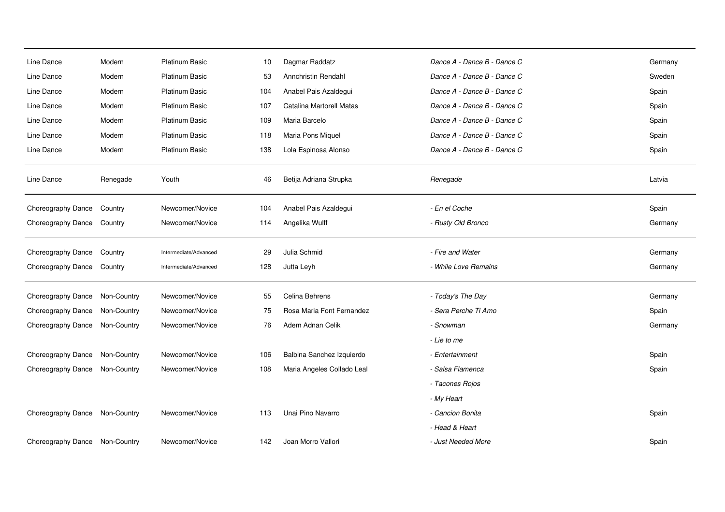| Line Dance         | Modern      | <b>Platinum Basic</b> | 10  | Dagmar Raddatz             | Dance A - Dance B - Dance C | Germany |
|--------------------|-------------|-----------------------|-----|----------------------------|-----------------------------|---------|
| Line Dance         | Modern      | <b>Platinum Basic</b> | 53  | Annchristin Rendahl        | Dance A - Dance B - Dance C | Sweden  |
| Line Dance         | Modern      | <b>Platinum Basic</b> | 104 | Anabel Pais Azaldegui      | Dance A - Dance B - Dance C | Spain   |
| Line Dance         | Modern      | <b>Platinum Basic</b> | 107 | Catalina Martorell Matas   | Dance A - Dance B - Dance C | Spain   |
| Line Dance         | Modern      | <b>Platinum Basic</b> | 109 | Maria Barcelo              | Dance A - Dance B - Dance C | Spain   |
| Line Dance         | Modern      | Platinum Basic        | 118 | Maria Pons Miquel          | Dance A - Dance B - Dance C | Spain   |
| Line Dance         | Modern      | Platinum Basic        | 138 | Lola Espinosa Alonso       | Dance A - Dance B - Dance C | Spain   |
| Line Dance         | Renegade    | Youth                 | 46  | Betija Adriana Strupka     | Renegade                    | Latvia  |
| Choreography Dance | Country     | Newcomer/Novice       | 104 | Anabel Pais Azaldegui      | - En el Coche               | Spain   |
| Choreography Dance | Country     | Newcomer/Novice       | 114 | Angelika Wulff             | - Rusty Old Bronco          | Germany |
| Choreography Dance | Country     | Intermediate/Advanced | 29  | Julia Schmid               | - Fire and Water            | Germany |
| Choreography Dance | Country     | Intermediate/Advanced | 128 | Jutta Leyh                 | - While Love Remains        | Germany |
| Choreography Dance | Non-Country | Newcomer/Novice       | 55  | Celina Behrens             | - Today's The Day           | Germany |
| Choreography Dance | Non-Country | Newcomer/Novice       | 75  | Rosa Maria Font Fernandez  | - Sera Perche Ti Amo        | Spain   |
| Choreography Dance | Non-Country | Newcomer/Novice       | 76  | Adem Adnan Celik           | - Snowman                   | Germany |
|                    |             |                       |     |                            | - Lie to me                 |         |
| Choreography Dance | Non-Country | Newcomer/Novice       | 106 | Balbina Sanchez Izquierdo  | - Entertainment             | Spain   |
| Choreography Dance | Non-Country | Newcomer/Novice       | 108 | Maria Angeles Collado Leal | - Salsa Flamenca            | Spain   |
|                    |             |                       |     |                            | - Tacones Rojos             |         |
|                    |             |                       |     |                            | - My Heart                  |         |
| Choreography Dance | Non-Country | Newcomer/Novice       | 113 | Unai Pino Navarro          | - Cancion Bonita            | Spain   |
|                    |             |                       |     |                            | - Head & Heart              |         |
| Choreography Dance | Non-Country | Newcomer/Novice       | 142 | Joan Morro Vallori         | - Just Needed More          | Spain   |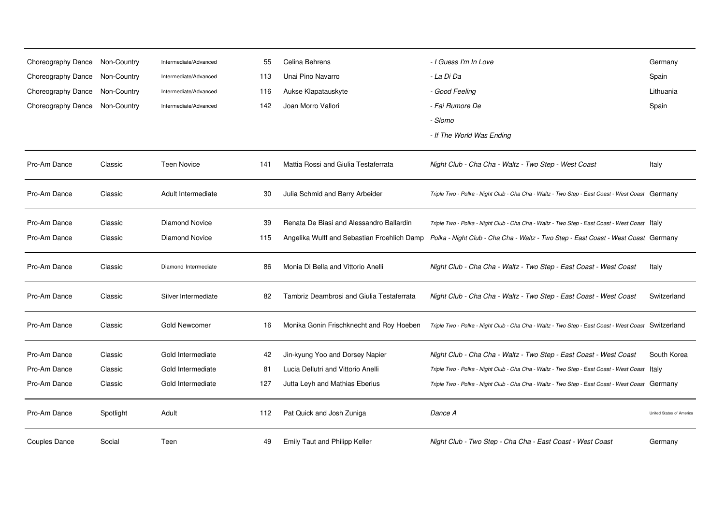| Choreography Dance | Non-Country | Intermediate/Advanced | 55  | Celina Behrens                              | - I Guess I'm In Love                                                                              | Germany                  |
|--------------------|-------------|-----------------------|-----|---------------------------------------------|----------------------------------------------------------------------------------------------------|--------------------------|
| Choreography Dance | Non-Country | Intermediate/Advanced | 113 | Unai Pino Navarro                           | - La Di Da                                                                                         | Spain                    |
| Choreography Dance | Non-Country | Intermediate/Advanced | 116 | Aukse Klapatauskyte                         | - Good Feeling                                                                                     | Lithuania                |
| Choreography Dance | Non-Country | Intermediate/Advanced | 142 | Joan Morro Vallori                          | - Fai Rumore De                                                                                    | Spain                    |
|                    |             |                       |     |                                             | - Slomo                                                                                            |                          |
|                    |             |                       |     |                                             | - If The World Was Ending                                                                          |                          |
| Pro-Am Dance       | Classic     | <b>Teen Novice</b>    | 141 | Mattia Rossi and Giulia Testaferrata        | Night Club - Cha Cha - Waltz - Two Step - West Coast                                               | Italy                    |
| Pro-Am Dance       | Classic     | Adult Intermediate    | 30  | Julia Schmid and Barry Arbeider             | Triple Two - Polka - Night Club - Cha Cha - Waltz - Two Step - East Coast - West Coast Germany     |                          |
| Pro-Am Dance       | Classic     | <b>Diamond Novice</b> | 39  | Renata De Biasi and Alessandro Ballardin    | Triple Two - Polka - Night Club - Cha Cha - Waltz - Two Step - East Coast - West Coast   Italy     |                          |
| Pro-Am Dance       | Classic     | Diamond Novice        | 115 | Angelika Wulff and Sebastian Froehlich Damp | Polka - Night Club - Cha Cha - Waltz - Two Step - East Coast - West Coast Germany                  |                          |
| Pro-Am Dance       | Classic     | Diamond Intermediate  | 86  | Monia Di Bella and Vittorio Anelli          | Night Club - Cha Cha - Waltz - Two Step - East Coast - West Coast                                  | Italy                    |
| Pro-Am Dance       | Classic     | Silver Intermediate   | 82  | Tambriz Deambrosi and Giulia Testaferrata   | Night Club - Cha Cha - Waltz - Two Step - East Coast - West Coast                                  | Switzerland              |
| Pro-Am Dance       | Classic     | Gold Newcomer         | 16  | Monika Gonin Frischknecht and Roy Hoeben    | Triple Two - Polka - Night Club - Cha Cha - Waltz - Two Step - East Coast - West Coast Switzerland |                          |
| Pro-Am Dance       | Classic     | Gold Intermediate     | 42  | Jin-kyung Yoo and Dorsey Napier             | Night Club - Cha Cha - Waltz - Two Step - East Coast - West Coast                                  | South Korea              |
| Pro-Am Dance       | Classic     | Gold Intermediate     | 81  | Lucia Dellutri and Vittorio Anelli          | Triple Two - Polka - Night Club - Cha Cha - Waltz - Two Step - East Coast - West Coast   Italy     |                          |
| Pro-Am Dance       | Classic     | Gold Intermediate     | 127 | Jutta Leyh and Mathias Eberius              | Triple Two - Polka - Night Club - Cha Cha - Waltz - Two Step - East Coast - West Coast Germany     |                          |
| Pro-Am Dance       | Spotlight   | Adult                 | 112 | Pat Quick and Josh Zuniga                   | Dance A                                                                                            | United States of America |
| Couples Dance      | Social      | Teen                  | 49  | Emily Taut and Philipp Keller               | Night Club - Two Step - Cha Cha - East Coast - West Coast                                          | Germany                  |